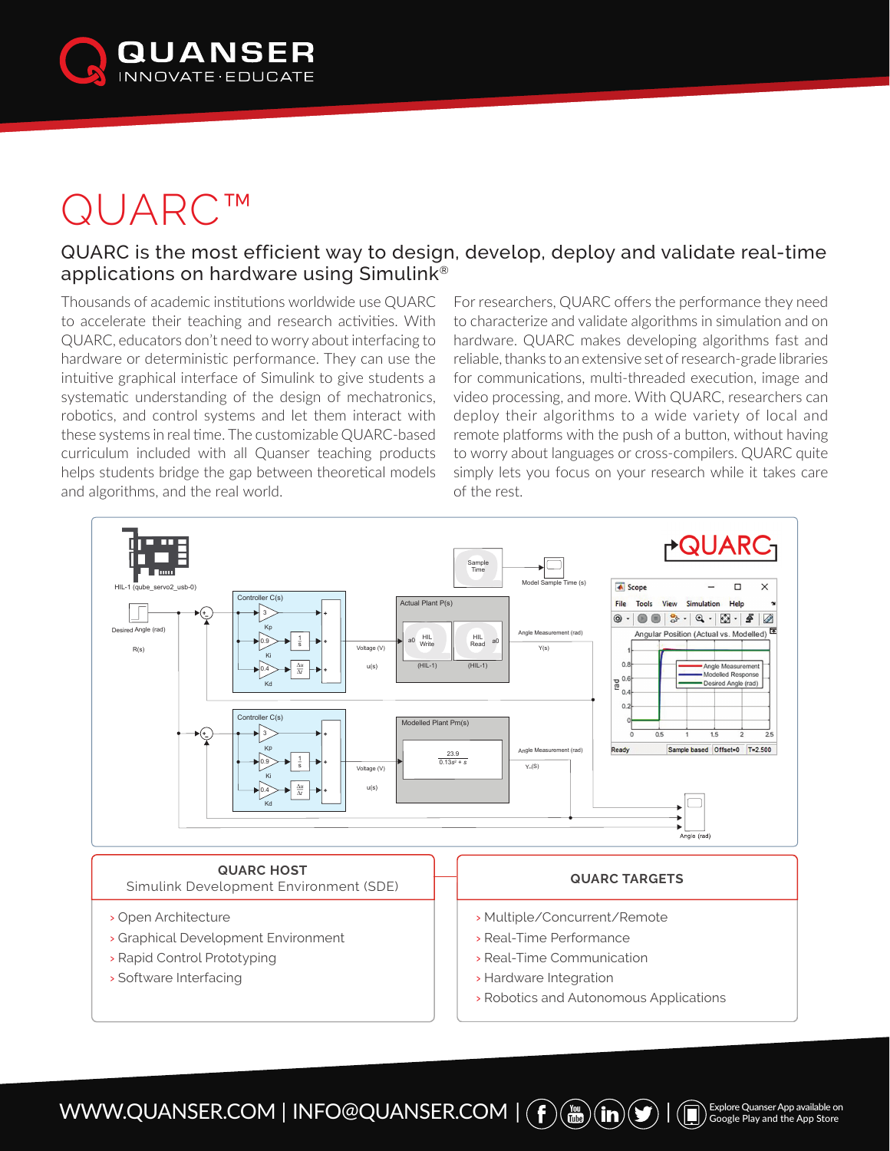

## QUARC™

## QUARC is the most efficient way to design, develop, deploy and validate real-time applications on hardware using Simulink®

Thousands of academic institutions worldwide use QUARC to accelerate their teaching and research activities. With QUARC, educators don't need to worry about interfacing to hardware or deterministic performance. They can use the intuitive graphical interface of Simulink to give students a systematic understanding of the design of mechatronics, robotics, and control systems and let them interact with these systems in real time. The customizable QUARC-based curriculum included with all Quanser teaching products helps students bridge the gap between theoretical models and algorithms, and the real world.

For researchers, QUARC offers the performance they need to characterize and validate algorithms in simulation and on hardware. QUARC makes developing algorithms fast and reliable, thanks to an extensive set of research-grade libraries for communications, multi-threaded execution, image and video processing, and more. With QUARC, researchers can deploy their algorithms to a wide variety of local and remote platforms with the push of a button, without having to worry about languages or cross-compilers. QUARC quite simply lets you focus on your research while it takes care of the rest.



 $\text{WWW.QUANSER.COM} \mid \text{INFO@QUANSER. COM} \mid (\textbf{\textit{f}}) (\textbf{\textit{m}}) (\textbf{\textit{m}}) (\textbf{\textit{m}}) (\textbf{\textit{f}}) \mid (\textbf{\textit{m}})$  Explore Quanser App available on